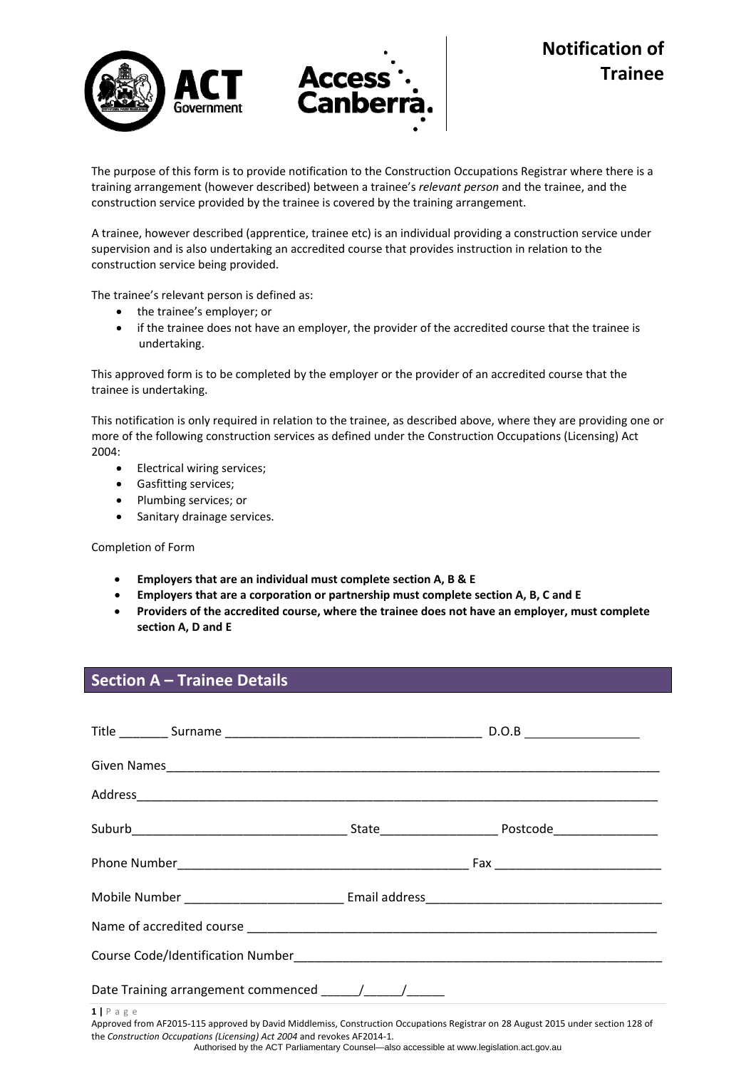



The purpose of this form is to provide notification to the Construction Occupations Registrar where there is a training arrangement (however described) between a trainee's *relevant person* and the trainee, and the construction service provided by the trainee is covered by the training arrangement.

A trainee, however described (apprentice, trainee etc) is an individual providing a construction service under supervision and is also undertaking an accredited course that provides instruction in relation to the construction service being provided.

The trainee's relevant person is defined as:

- the trainee's employer; or
- if the trainee does not have an employer, the provider of the accredited course that the trainee is undertaking.

This approved form is to be completed by the employer or the provider of an accredited course that the trainee is undertaking.

This notification is only required in relation to the trainee, as described above, where they are providing one or more of the following construction services as defined under the Construction Occupations (Licensing) Act 2004:

- Electrical wiring services;
- Gasfitting services;
- Plumbing services; or
- Sanitary drainage services.

Completion of Form

- **Employers that are an individual must complete section A, B & E**
- **Employers that are a corporation or partnership must complete section A, B, C and E**
- **Providers of the accredited course, where the trainee does not have an employer, must complete section A, D and E**

#### **Section A – Trainee Details**

| Date Training arrangement commenced ______/______/_________                                                                                    |  |  |  |  |
|------------------------------------------------------------------------------------------------------------------------------------------------|--|--|--|--|
| $1$   Page<br>Approved from AF2015-115 approved by David Middlemiss, Construction Occupations Registrar on 28 August 2015 under section 128 of |  |  |  |  |

the *Construction Occupations (Licensing) Act 2004* and revokes AF2014‐1.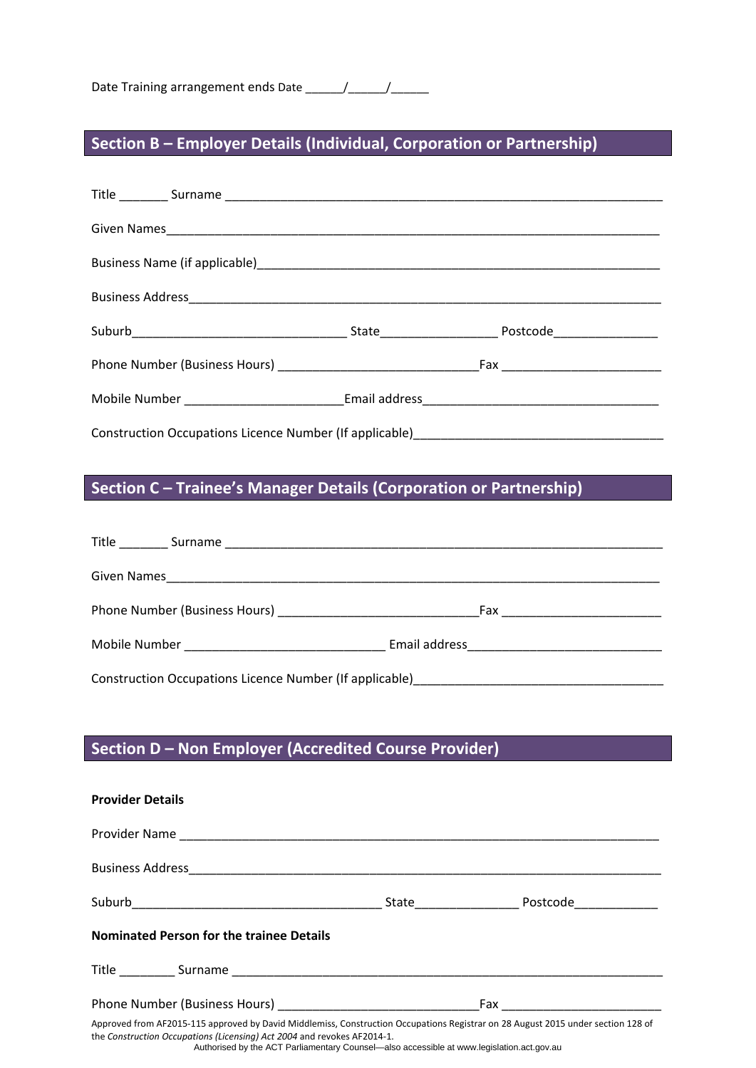| Date Training arrangement ends Date |  |  |
|-------------------------------------|--|--|
|-------------------------------------|--|--|

# **Section B – Employer Details (Individual, Corporation or Partnership)**

# **Section C – Trainee's Manager Details (Corporation or Partnership)**

| Construction Occupations Licence Number (If applicable) ________________________ |  |  |  |  |
|----------------------------------------------------------------------------------|--|--|--|--|

# **Section D – Non Employer (Accredited Course Provider)**

| <b>Provider Details</b>                                                                                                                                                                                                                                                                                  |  |  |  |  |  |
|----------------------------------------------------------------------------------------------------------------------------------------------------------------------------------------------------------------------------------------------------------------------------------------------------------|--|--|--|--|--|
|                                                                                                                                                                                                                                                                                                          |  |  |  |  |  |
|                                                                                                                                                                                                                                                                                                          |  |  |  |  |  |
|                                                                                                                                                                                                                                                                                                          |  |  |  |  |  |
| <b>Nominated Person for the trainee Details</b>                                                                                                                                                                                                                                                          |  |  |  |  |  |
|                                                                                                                                                                                                                                                                                                          |  |  |  |  |  |
|                                                                                                                                                                                                                                                                                                          |  |  |  |  |  |
| Approved from AF2015-115 approved by David Middlemiss, Construction Occupations Registrar on 28 August 2015 under section 128 of<br>the Construction Occupations (Licensing) Act 2004 and revokes AF2014-1.<br>Authorised by the ACT Parliamentary Counsel—also accessible at www.legislation.act.gov.au |  |  |  |  |  |